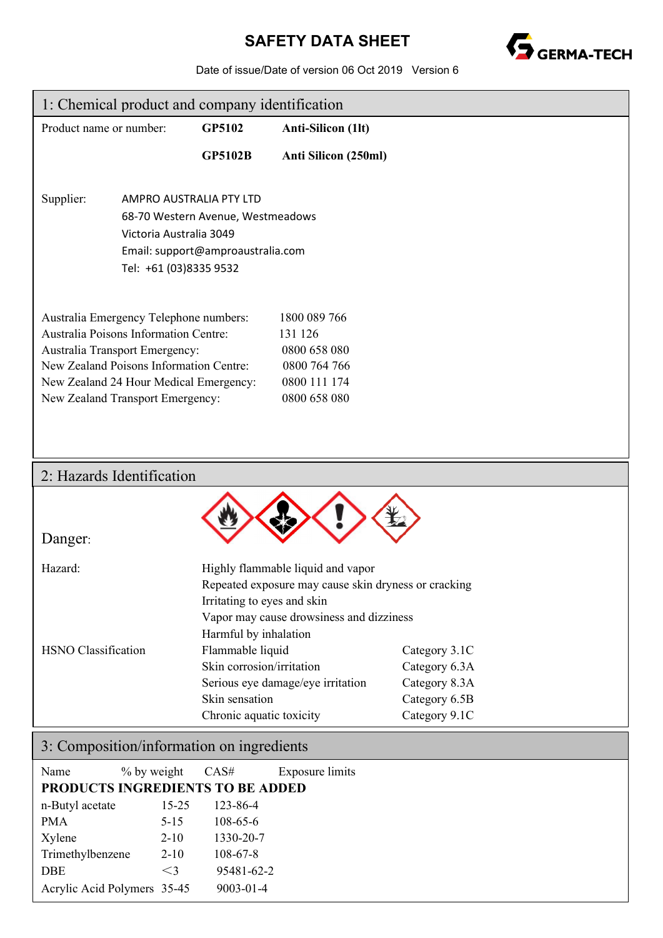### **SAFETY DATA SHEET**



Date of issue/Date of version 06 Oct 2019 Version 6

| 1: Chemical product and company identification                                                                                                                                                                                                                                                                                        |                                                                              |                                                                                                                         |                                                                                                                                                                            |                                                                  |
|---------------------------------------------------------------------------------------------------------------------------------------------------------------------------------------------------------------------------------------------------------------------------------------------------------------------------------------|------------------------------------------------------------------------------|-------------------------------------------------------------------------------------------------------------------------|----------------------------------------------------------------------------------------------------------------------------------------------------------------------------|------------------------------------------------------------------|
| Product name or number:                                                                                                                                                                                                                                                                                                               |                                                                              | GP5102                                                                                                                  | <b>Anti-Silicon (1lt)</b>                                                                                                                                                  |                                                                  |
|                                                                                                                                                                                                                                                                                                                                       |                                                                              | <b>GP5102B</b>                                                                                                          | Anti Silicon (250ml)                                                                                                                                                       |                                                                  |
| Supplier:                                                                                                                                                                                                                                                                                                                             | AMPRO AUSTRALIA PTY LTD<br>Victoria Australia 3049<br>Tel: +61 (03)8335 9532 | 68-70 Western Avenue, Westmeadows<br>Email: support@amproaustralia.com                                                  |                                                                                                                                                                            |                                                                  |
| Australia Emergency Telephone numbers:<br>1800 089 766<br>Australia Poisons Information Centre:<br>131 126<br>Australia Transport Emergency:<br>0800 658 080<br>New Zealand Poisons Information Centre:<br>0800 764 766<br>0800 111 174<br>New Zealand 24 Hour Medical Emergency:<br>0800 658 080<br>New Zealand Transport Emergency: |                                                                              |                                                                                                                         |                                                                                                                                                                            |                                                                  |
|                                                                                                                                                                                                                                                                                                                                       | 2: Hazards Identification                                                    |                                                                                                                         |                                                                                                                                                                            |                                                                  |
| Danger:                                                                                                                                                                                                                                                                                                                               |                                                                              |                                                                                                                         |                                                                                                                                                                            |                                                                  |
| Hazard:<br><b>HSNO</b> Classification                                                                                                                                                                                                                                                                                                 |                                                                              | Irritating to eyes and skin<br>Harmful by inhalation<br>Flammable liquid<br>Skin corrosion/irritation<br>Skin sensation | Highly flammable liquid and vapor<br>Repeated exposure may cause skin dryness or cracking<br>Vapor may cause drowsiness and dizziness<br>Serious eye damage/eye irritation | Category 3.1C<br>Category 6.3A<br>Category 8.3A<br>Category 6.5B |
|                                                                                                                                                                                                                                                                                                                                       |                                                                              | Chronic aquatic toxicity                                                                                                |                                                                                                                                                                            | Category 9.1C                                                    |
|                                                                                                                                                                                                                                                                                                                                       | 3: Composition/information on ingredients                                    |                                                                                                                         |                                                                                                                                                                            |                                                                  |
| Name                                                                                                                                                                                                                                                                                                                                  | % by weight<br><b>PRODUCTS INGREDIENTS TO BE ADDED</b>                       | CAS#                                                                                                                    | <b>Exposure limits</b>                                                                                                                                                     |                                                                  |

| PRODUCTS INGREDIENTS TO BE ADDED |          |                |
|----------------------------------|----------|----------------|
| n-Butyl acetate                  | 15-25    | 123-86-4       |
| <b>PMA</b>                       | $5 - 15$ | $108 - 65 - 6$ |
| Xylene                           | $2 - 10$ | 1330-20-7      |
| Trimethylbenzene                 | $2 - 10$ | $108 - 67 - 8$ |
| <b>DBE</b>                       | $\leq$ 3 | 95481-62-2     |
| Acrylic Acid Polymers 35-45      |          | 9003-01-4      |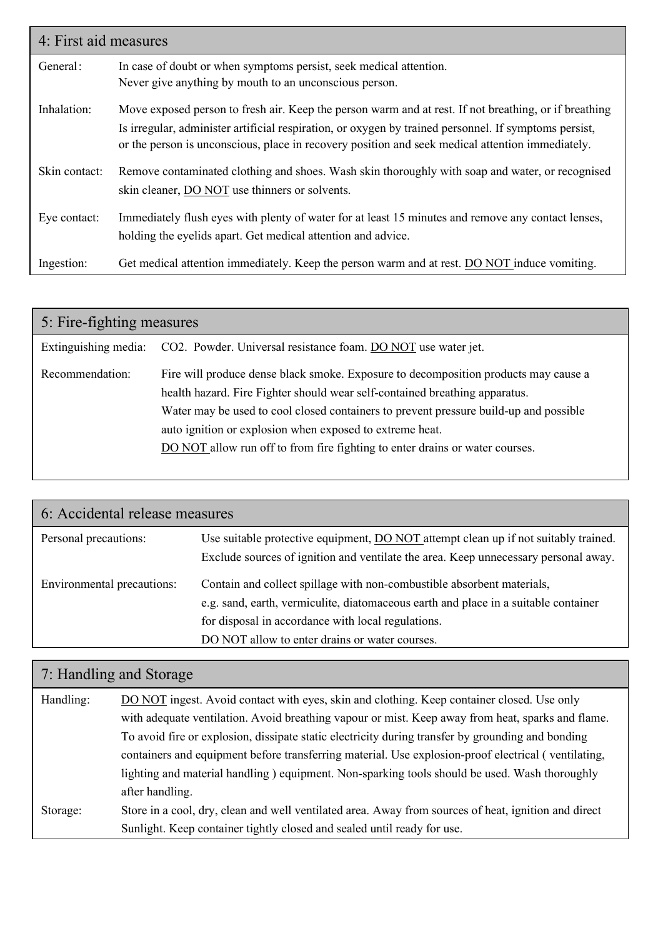| 4: First aid measures |                                                                                                                                                                                                                                                                                                                    |  |
|-----------------------|--------------------------------------------------------------------------------------------------------------------------------------------------------------------------------------------------------------------------------------------------------------------------------------------------------------------|--|
| General:              | In case of doubt or when symptoms persist, seek medical attention.<br>Never give anything by mouth to an unconscious person.                                                                                                                                                                                       |  |
| Inhalation:           | Move exposed person to fresh air. Keep the person warm and at rest. If not breathing, or if breathing<br>Is irregular, administer artificial respiration, or oxygen by trained personnel. If symptoms persist,<br>or the person is unconscious, place in recovery position and seek medical attention immediately. |  |
| Skin contact:         | Remove contaminated clothing and shoes. Wash skin thoroughly with soap and water, or recognised<br>skin cleaner, DO NOT use thinners or solvents.                                                                                                                                                                  |  |
| Eye contact:          | Immediately flush eyes with plenty of water for at least 15 minutes and remove any contact lenses,<br>holding the eyelids apart. Get medical attention and advice.                                                                                                                                                 |  |
| Ingestion:            | Get medical attention immediately. Keep the person warm and at rest. DO NOT induce vomiting.                                                                                                                                                                                                                       |  |

| 5: Fire-fighting measures |                                                                                                                                                                                                                                                                                                                                                                                                         |  |  |
|---------------------------|---------------------------------------------------------------------------------------------------------------------------------------------------------------------------------------------------------------------------------------------------------------------------------------------------------------------------------------------------------------------------------------------------------|--|--|
| Extinguishing media:      | CO2. Powder. Universal resistance foam. DO NOT use water jet.                                                                                                                                                                                                                                                                                                                                           |  |  |
| Recommendation:           | Fire will produce dense black smoke. Exposure to decomposition products may cause a<br>health hazard. Fire Fighter should wear self-contained breathing apparatus.<br>Water may be used to cool closed containers to prevent pressure build-up and possible<br>auto ignition or explosion when exposed to extreme heat.<br>DO NOT allow run off to from fire fighting to enter drains or water courses. |  |  |

| 6: Accidental release measures |                                                                                                                                                                                                                                                                       |  |  |
|--------------------------------|-----------------------------------------------------------------------------------------------------------------------------------------------------------------------------------------------------------------------------------------------------------------------|--|--|
| Personal precautions:          | Use suitable protective equipment, DO NOT attempt clean up if not suitably trained.<br>Exclude sources of ignition and ventilate the area. Keep unnecessary personal away.                                                                                            |  |  |
| Environmental precautions:     | Contain and collect spillage with non-combustible absorbent materials,<br>e.g. sand, earth, vermiculite, diatomaceous earth and place in a suitable container<br>for disposal in accordance with local regulations.<br>DO NOT allow to enter drains or water courses. |  |  |

# 7: Handling and Storage

| Handling: | DO NOT ingest. Avoid contact with eyes, skin and clothing. Keep container closed. Use only           |
|-----------|------------------------------------------------------------------------------------------------------|
|           | with adequate ventilation. Avoid breathing vapour or mist. Keep away from heat, sparks and flame.    |
|           | To avoid fire or explosion, dissipate static electricity during transfer by grounding and bonding    |
|           | containers and equipment before transferring material. Use explosion-proof electrical (ventilating,  |
|           | lighting and material handling ) equipment. Non-sparking tools should be used. Wash thoroughly       |
|           | after handling.                                                                                      |
| Storage:  | Store in a cool, dry, clean and well ventilated area. Away from sources of heat, ignition and direct |
|           | Sunlight. Keep container tightly closed and sealed until ready for use.                              |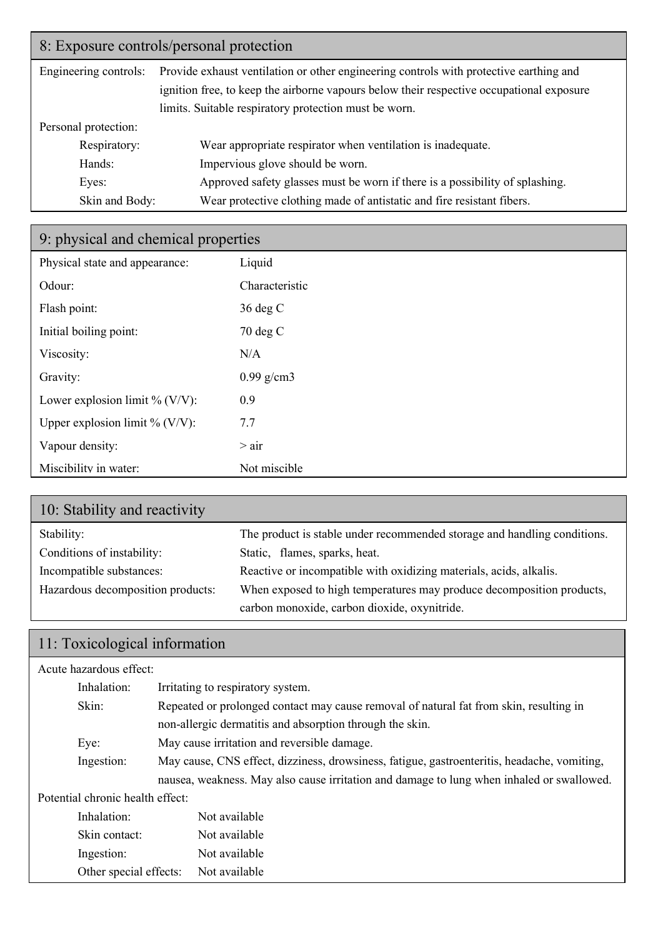### 8: Exposure controls/personal protection

| Engineering controls: | Provide exhaust ventilation or other engineering controls with protective earthing and   |  |  |
|-----------------------|------------------------------------------------------------------------------------------|--|--|
|                       | ignition free, to keep the airborne vapours below their respective occupational exposure |  |  |
|                       | limits. Suitable respiratory protection must be worn.                                    |  |  |
| Personal protection:  |                                                                                          |  |  |
| Respiratory:          | Wear appropriate respirator when ventilation is inadequate.                              |  |  |
| Hands:                | Impervious glove should be worn.                                                         |  |  |
| Eyes:                 | Approved safety glasses must be worn if there is a possibility of splashing.             |  |  |
| Skin and Body:        | Wear protective clothing made of antistatic and fire resistant fibers.                   |  |  |

## 9: physical and chemical properties

| Physical state and appearance:    | Liquid         |
|-----------------------------------|----------------|
| Odour:                            | Characteristic |
| Flash point:                      | $36 \deg C$    |
| Initial boiling point:            | $70 \deg C$    |
| Viscosity:                        | N/A            |
| Gravity:                          | $0.99$ g/cm3   |
| Lower explosion limit % (V/V):    | 0.9            |
| Upper explosion limit % $(V/V)$ : | 7.7            |
| Vapour density:                   | $>$ air        |
| Miscibility in water:             | Not miscible   |

| 10: Stability and reactivity      |                                                                          |
|-----------------------------------|--------------------------------------------------------------------------|
| Stability:                        | The product is stable under recommended storage and handling conditions. |
| Conditions of instability:        | Static, flames, sparks, heat.                                            |
| Incompatible substances:          | Reactive or incompatible with oxidizing materials, acids, alkalis.       |
| Hazardous decomposition products: | When exposed to high temperatures may produce decomposition products,    |
|                                   | carbon monoxide, carbon dioxide, oxynitride.                             |

## 11: Toxicological information

| Acute hazardous effect:          |                                                                                             |  |  |
|----------------------------------|---------------------------------------------------------------------------------------------|--|--|
| Inhalation:                      | Irritating to respiratory system.                                                           |  |  |
| Skin:                            | Repeated or prolonged contact may cause removal of natural fat from skin, resulting in      |  |  |
|                                  | non-allergic dermatitis and absorption through the skin.                                    |  |  |
| Eye:                             | May cause irritation and reversible damage.                                                 |  |  |
| Ingestion:                       | May cause, CNS effect, dizziness, drowsiness, fatigue, gastroenteritis, headache, vomiting, |  |  |
|                                  | nausea, weakness. May also cause irritation and damage to lung when inhaled or swallowed.   |  |  |
| Potential chronic health effect: |                                                                                             |  |  |
| Inhalation:                      | Not available                                                                               |  |  |
| Skin contact:                    | Not available                                                                               |  |  |
| Ingestion:                       | Not available                                                                               |  |  |
| Other special effects:           | Not available                                                                               |  |  |